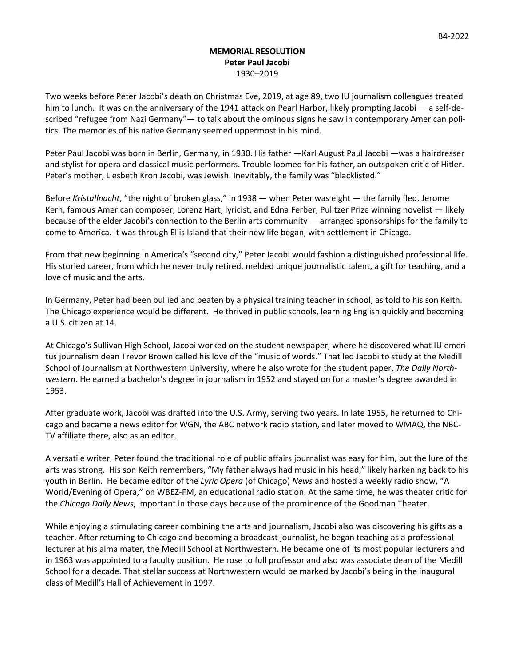## **MEMORIAL RESOLUTION Peter Paul Jacobi** 1930–2019

Two weeks before Peter Jacobi's death on Christmas Eve, 2019, at age 89, two IU journalism colleagues treated him to lunch. It was on the anniversary of the 1941 attack on Pearl Harbor, likely prompting Jacobi — a self-described "refugee from Nazi Germany"— to talk about the ominous signs he saw in contemporary American politics. The memories of his native Germany seemed uppermost in his mind.

Peter Paul Jacobi was born in Berlin, Germany, in 1930. His father —Karl August Paul Jacobi —was a hairdresser and stylist for opera and classical music performers. Trouble loomed for his father, an outspoken critic of Hitler. Peter's mother, Liesbeth Kron Jacobi, was Jewish. Inevitably, the family was "blacklisted."

Before *Kristallnacht*, "the night of broken glass," in 1938 — when Peter was eight — the family fled. Jerome Kern, famous American composer, Lorenz Hart, lyricist, and Edna Ferber, Pulitzer Prize winning novelist — likely because of the elder Jacobi's connection to the Berlin arts community — arranged sponsorships for the family to come to America. It was through Ellis Island that their new life began, with settlement in Chicago.

From that new beginning in America's "second city," Peter Jacobi would fashion a distinguished professional life. His storied career, from which he never truly retired, melded unique journalistic talent, a gift for teaching, and a love of music and the arts.

In Germany, Peter had been bullied and beaten by a physical training teacher in school, as told to his son Keith. The Chicago experience would be different. He thrived in public schools, learning English quickly and becoming a U.S. citizen at 14.

At Chicago's Sullivan High School, Jacobi worked on the student newspaper, where he discovered what IU emeritus journalism dean Trevor Brown called his love of the "music of words." That led Jacobi to study at the Medill School of Journalism at Northwestern University, where he also wrote for the student paper, *The Daily Northwestern*. He earned a bachelor's degree in journalism in 1952 and stayed on for a master's degree awarded in 1953.

After graduate work, Jacobi was drafted into the U.S. Army, serving two years. In late 1955, he returned to Chicago and became a news editor for WGN, the ABC network radio station, and later moved to WMAQ, the NBC-TV affiliate there, also as an editor.

A versatile writer, Peter found the traditional role of public affairs journalist was easy for him, but the lure of the arts was strong. His son Keith remembers, "My father always had music in his head," likely harkening back to his youth in Berlin. He became editor of the *Lyric Opera* (of Chicago) *News* and hosted a weekly radio show, "A World/Evening of Opera," on WBEZ-FM, an educational radio station. At the same time, he was theater critic for the *Chicago Daily News*, important in those days because of the prominence of the Goodman Theater.

While enjoying a stimulating career combining the arts and journalism, Jacobi also was discovering his gifts as a teacher. After returning to Chicago and becoming a broadcast journalist, he began teaching as a professional lecturer at his alma mater, the Medill School at Northwestern. He became one of its most popular lecturers and in 1963 was appointed to a faculty position. He rose to full professor and also was associate dean of the Medill School for a decade. That stellar success at Northwestern would be marked by Jacobi's being in the inaugural class of Medill's Hall of Achievement in 1997.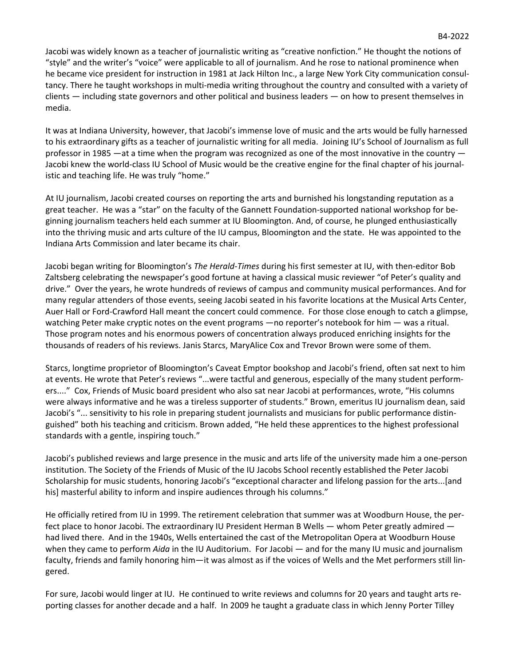Jacobi was widely known as a teacher of journalistic writing as "creative nonfiction." He thought the notions of "style" and the writer's "voice" were applicable to all of journalism. And he rose to national prominence when he became vice president for instruction in 1981 at Jack Hilton Inc., a large New York City communication consultancy. There he taught workshops in multi-media writing throughout the country and consulted with a variety of clients — including state governors and other political and business leaders — on how to present themselves in media.

It was at Indiana University, however, that Jacobi's immense love of music and the arts would be fully harnessed to his extraordinary gifts as a teacher of journalistic writing for all media. Joining IU's School of Journalism as full professor in 1985 —at a time when the program was recognized as one of the most innovative in the country — Jacobi knew the world-class IU School of Music would be the creative engine for the final chapter of his journalistic and teaching life. He was truly "home."

At IU journalism, Jacobi created courses on reporting the arts and burnished his longstanding reputation as a great teacher. He was a "star" on the faculty of the Gannett Foundation-supported national workshop for beginning journalism teachers held each summer at IU Bloomington. And, of course, he plunged enthusiastically into the thriving music and arts culture of the IU campus, Bloomington and the state. He was appointed to the Indiana Arts Commission and later became its chair.

Jacobi began writing for Bloomington's *The Herald-Times* during his first semester at IU, with then-editor Bob Zaltsberg celebrating the newspaper's good fortune at having a classical music reviewer "of Peter's quality and drive." Over the years, he wrote hundreds of reviews of campus and community musical performances. And for many regular attenders of those events, seeing Jacobi seated in his favorite locations at the Musical Arts Center, Auer Hall or Ford-Crawford Hall meant the concert could commence. For those close enough to catch a glimpse, watching Peter make cryptic notes on the event programs —no reporter's notebook for him — was a ritual. Those program notes and his enormous powers of concentration always produced enriching insights for the thousands of readers of his reviews. Janis Starcs, MaryAlice Cox and Trevor Brown were some of them.

Starcs, longtime proprietor of Bloomington's Caveat Emptor bookshop and Jacobi's friend, often sat next to him at events. He wrote that Peter's reviews "...were tactful and generous, especially of the many student performers...." Cox, Friends of Music board president who also sat near Jacobi at performances, wrote, "His columns were always informative and he was a tireless supporter of students." Brown, emeritus IU journalism dean, said Jacobi's "... sensitivity to his role in preparing student journalists and musicians for public performance distinguished" both his teaching and criticism. Brown added, "He held these apprentices to the highest professional standards with a gentle, inspiring touch."

Jacobi's published reviews and large presence in the music and arts life of the university made him a one-person institution. The Society of the Friends of Music of the IU Jacobs School recently established the Peter Jacobi Scholarship for music students, honoring Jacobi's "exceptional character and lifelong passion for the arts...[and his] masterful ability to inform and inspire audiences through his columns."

He officially retired from IU in 1999. The retirement celebration that summer was at Woodburn House, the perfect place to honor Jacobi. The extraordinary IU President Herman B Wells — whom Peter greatly admired had lived there. And in the 1940s, Wells entertained the cast of the Metropolitan Opera at Woodburn House when they came to perform *Aida* in the IU Auditorium. For Jacobi — and for the many IU music and journalism faculty, friends and family honoring him—it was almost as if the voices of Wells and the Met performers still lingered.

For sure, Jacobi would linger at IU. He continued to write reviews and columns for 20 years and taught arts reporting classes for another decade and a half. In 2009 he taught a graduate class in which Jenny Porter Tilley